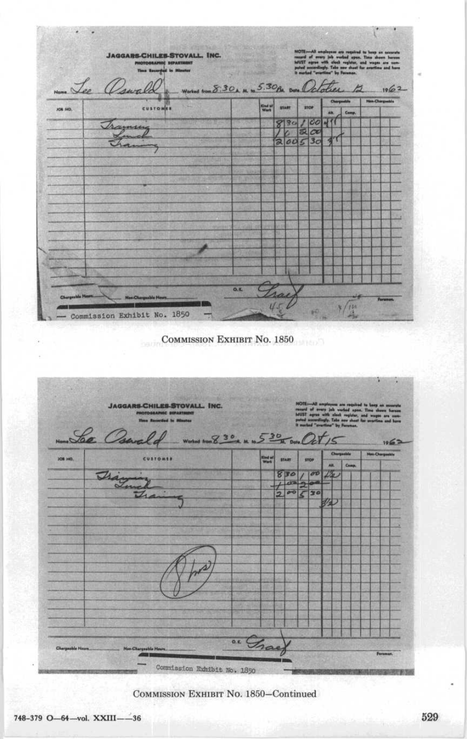|                 | PHOTOGRAPHIC SEPARTRENT<br><b>Time Recording In Minutes</b>                                       |                 |                                    |                       |                         | $\texttt{NOT} \rightarrow \texttt{AD}$ angle<br>year are regained to keep as occurrels resurd of overy jub worked appe. Thus shown horest<br>public, and weight again with clear region and wages are contributed accordingly. Take new short for certifi |                       |      |
|-----------------|---------------------------------------------------------------------------------------------------|-----------------|------------------------------------|-----------------------|-------------------------|-----------------------------------------------------------------------------------------------------------------------------------------------------------------------------------------------------------------------------------------------------------|-----------------------|------|
| Nome Lee a      | Worked from 8:30 A. M. to 5:30 BM. Date 0                                                         |                 |                                    |                       |                         |                                                                                                                                                                                                                                                           |                       | 1962 |
|                 |                                                                                                   | <b>Gad at</b>   | <b>START</b>                       | <b>STOP</b>           |                         | Chargestile                                                                                                                                                                                                                                               | <b>Non-Chargeshie</b> |      |
| <b>JOB 140.</b> | <b>CUSTOMER</b>                                                                                   |                 |                                    |                       | Als.                    | Comp.                                                                                                                                                                                                                                                     |                       |      |
|                 | anne                                                                                              |                 | 30                                 | 1 CO<br>ಷ<br>$\infty$ | 411                     |                                                                                                                                                                                                                                                           |                       |      |
|                 |                                                                                                   |                 | 2005                               | 3 <sub>O</sub>        |                         |                                                                                                                                                                                                                                                           |                       |      |
|                 |                                                                                                   |                 |                                    |                       |                         |                                                                                                                                                                                                                                                           |                       |      |
|                 |                                                                                                   |                 |                                    |                       |                         |                                                                                                                                                                                                                                                           |                       |      |
|                 |                                                                                                   |                 |                                    |                       |                         |                                                                                                                                                                                                                                                           |                       |      |
|                 |                                                                                                   |                 |                                    |                       |                         |                                                                                                                                                                                                                                                           |                       |      |
|                 |                                                                                                   |                 |                                    |                       |                         |                                                                                                                                                                                                                                                           |                       |      |
|                 |                                                                                                   |                 |                                    |                       |                         |                                                                                                                                                                                                                                                           |                       |      |
|                 |                                                                                                   |                 |                                    |                       |                         |                                                                                                                                                                                                                                                           |                       |      |
|                 |                                                                                                   |                 |                                    |                       |                         |                                                                                                                                                                                                                                                           |                       |      |
|                 |                                                                                                   |                 |                                    |                       |                         |                                                                                                                                                                                                                                                           |                       |      |
|                 |                                                                                                   |                 |                                    |                       |                         |                                                                                                                                                                                                                                                           |                       |      |
|                 |                                                                                                   |                 |                                    |                       |                         |                                                                                                                                                                                                                                                           |                       |      |
| abdie 9         | abla He<br><b>JOIN</b>                                                                            | 0.8             |                                    |                       |                         |                                                                                                                                                                                                                                                           |                       | Form |
|                 | Commission Exhibit No. 1850                                                                       |                 |                                    |                       |                         | 130                                                                                                                                                                                                                                                       |                       |      |
|                 | COMMISSION EXHIBIT NO. 1850                                                                       |                 |                                    |                       |                         |                                                                                                                                                                                                                                                           |                       |      |
|                 | <b>JAGGARS-CHILES-STOVALL. INC.</b><br>PHOTOGRAPHIC DIPARTMENT<br><b>Hose Recorded by Minutes</b> | <b>CONTRACT</b> |                                    | HOTE-<br>All at       | of every job vorked ups | oly. Take new sheet fo                                                                                                                                                                                                                                    | a. Time<br><b>And</b> |      |
|                 | Monta Osarak<br>Worked from 8 30 M to 5 30 M Date Oct /                                           |                 |                                    |                       |                         |                                                                                                                                                                                                                                                           |                       |      |
|                 | <b>CUSTOMER</b>                                                                                   |                 |                                    |                       | Chert                   | abbi                                                                                                                                                                                                                                                      | <b>Non-Chargestel</b> |      |
|                 |                                                                                                   | <b>Kind of</b>  | <b>START</b>                       | <b>STOP</b>           | AH.                     | Comp                                                                                                                                                                                                                                                      |                       |      |
|                 |                                                                                                   |                 | 830<br>Æ<br>$\mathcal{L}$          | $\sigma v$            | 14                      |                                                                                                                                                                                                                                                           |                       |      |
|                 | Tháy                                                                                              |                 | $0 - 0$<br>$\overline{\mathbf{z}}$ | 30                    |                         |                                                                                                                                                                                                                                                           |                       | 1962 |
|                 |                                                                                                   |                 |                                    |                       | 12                      |                                                                                                                                                                                                                                                           |                       |      |
|                 |                                                                                                   |                 |                                    |                       |                         |                                                                                                                                                                                                                                                           |                       |      |
|                 |                                                                                                   |                 |                                    |                       |                         |                                                                                                                                                                                                                                                           |                       |      |
|                 |                                                                                                   |                 |                                    |                       |                         |                                                                                                                                                                                                                                                           |                       |      |
|                 |                                                                                                   |                 |                                    |                       |                         |                                                                                                                                                                                                                                                           |                       |      |
|                 |                                                                                                   |                 |                                    |                       |                         |                                                                                                                                                                                                                                                           |                       |      |
|                 |                                                                                                   |                 |                                    |                       |                         |                                                                                                                                                                                                                                                           |                       |      |
|                 |                                                                                                   |                 |                                    |                       |                         |                                                                                                                                                                                                                                                           |                       |      |
|                 |                                                                                                   |                 |                                    |                       |                         |                                                                                                                                                                                                                                                           |                       |      |
|                 |                                                                                                   |                 |                                    |                       |                         |                                                                                                                                                                                                                                                           |                       |      |
| <b>JOB HO.</b>  |                                                                                                   | ac Charl        |                                    |                       |                         |                                                                                                                                                                                                                                                           |                       |      |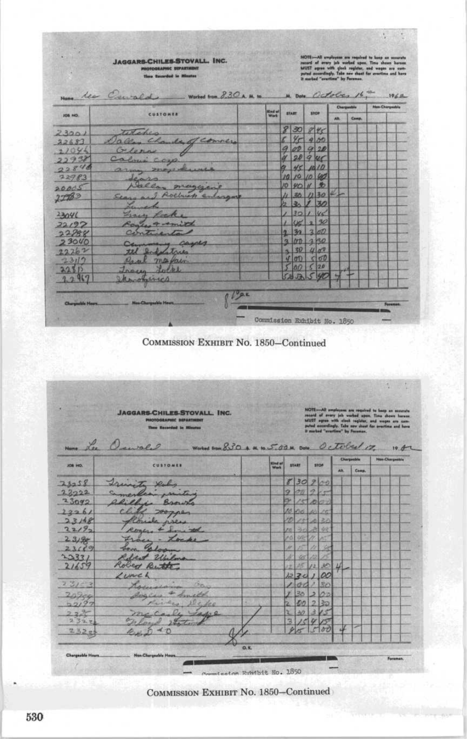|                | Nome les Ceurald<br>Worked from $8.30A$ , M. to. |                        |          |                 |        |             | M. Dote October 16.<br>Chargeoble | $196 -$<br><b>Man-Chargestole</b> |
|----------------|--------------------------------------------------|------------------------|----------|-----------------|--------|-------------|-----------------------------------|-----------------------------------|
| <b>JOB NO.</b> | <b>CUSTOMER</b>                                  | <b>Mod all</b><br>Wart |          | <b>START</b>    | 1707   | <b>ACRO</b> | Comp.                             |                                   |
|                | Titchen                                          |                        |          | 8 30 845        |        |             |                                   |                                   |
| 23001<br>22683 | Dalley Charles of conners                        |                        |          | 400             |        |             |                                   |                                   |
| 22046          | Glenn 1                                          |                        |          | 900920          |        |             |                                   |                                   |
| 22938          | Calmi cop                                        |                        | u        | 2090            |        |             |                                   |                                   |
| 22846          |                                                  |                        | a.       | 45/10           |        |             |                                   |                                   |
| 72983          | army may know                                    |                        |          | 10 10 10 40     |        |             |                                   |                                   |
|                | scar<br>Callon maggior                           |                        |          | 101401          |        |             |                                   |                                   |
| 20005          | Sears and Rochuck enlargest                      |                        |          |                 | 301130 |             |                                   |                                   |
| 2783           |                                                  |                        |          | $22 - 11$       | 30     |             |                                   |                                   |
|                | Franch<br>France Locks                           |                        |          | 30146           |        |             |                                   |                                   |
| 2304(          | Romer 4 comind                                   |                        |          |                 | 05220  |             |                                   |                                   |
| 22/92          | Centucida                                        |                        |          | 30 <sup>1</sup> | 200    |             |                                   |                                   |
| 22888<br>23040 |                                                  |                        | $\alpha$ | $170 - 250$     |        |             |                                   |                                   |
| 22262          | Commence Carpes                                  |                        | ×        |                 | 30400  |             |                                   |                                   |
| 23112          | the behalatrics<br>Real mariain                  |                        | u.       | $\sigma$        | d      |             |                                   |                                   |
| 22315          |                                                  |                        |          | 0 <sup>D</sup>  | (120   |             |                                   |                                   |
| 22967          | Troug Locke<br>armonica                          |                        |          |                 |        |             |                                   |                                   |

|           | <b>JAGGARS-CHILES-STOVALL, INC.</b><br><b>PROTOGRAPHIC SEPARTHENT</b><br><b>These Recorded in Minutes</b><br>Nome Lee Causell | Worked from 8.30 A. M. to 5.00 M. Date Octobed 17. |                |    |              |     |             |     | NOTE-All employees are required to beep an ecourate<br>record of every job worked upon. Time shows horses.<br>MUST agree with closh register, and weges are cam-<br>puted accordingly. Take new shoot for avertime and have<br>It marked "availing" by Faraman. | $10.7 -$               |
|-----------|-------------------------------------------------------------------------------------------------------------------------------|----------------------------------------------------|----------------|----|--------------|-----|-------------|-----|-----------------------------------------------------------------------------------------------------------------------------------------------------------------------------------------------------------------------------------------------------------------|------------------------|
|           |                                                                                                                               |                                                    | <b>Kind of</b> |    |              |     |             |     | Chargesble                                                                                                                                                                                                                                                      | <b>Non-Chargestrie</b> |
| JOB HO.   | CUSTOMER                                                                                                                      |                                                    | Work           |    | <b>START</b> |     | <b>STOP</b> | AN. | Comp.                                                                                                                                                                                                                                                           |                        |
| 73258     | Frinite Duly                                                                                                                  |                                                    |                |    | 8 30 200     |     |             |     |                                                                                                                                                                                                                                                                 |                        |
| 2222      | Cameración estados                                                                                                            |                                                    |                | o  | $\sigma n$   | ig. | il ann      |     |                                                                                                                                                                                                                                                                 |                        |
| 23092     | lillie Brown                                                                                                                  |                                                    |                |    | $\sim$       |     |             |     |                                                                                                                                                                                                                                                                 |                        |
| 2226/     | 200,00                                                                                                                        |                                                    |                |    | Polis        |     |             |     |                                                                                                                                                                                                                                                                 |                        |
| 23168     | nrew                                                                                                                          |                                                    |                |    | 284          | S.  | 22          |     |                                                                                                                                                                                                                                                                 |                        |
| 2219      | Roma, 4 Jan, and                                                                                                              |                                                    |                | m  | <b>COL</b>   |     | 36          |     |                                                                                                                                                                                                                                                                 |                        |
| 23/98     | France - Locks                                                                                                                |                                                    |                | 70 | W.           |     |             |     |                                                                                                                                                                                                                                                                 |                        |
| 23009     | Galon<br>ten.                                                                                                                 |                                                    |                | W. | y.           | n   |             |     |                                                                                                                                                                                                                                                                 |                        |
| 23331     | best Uhilma                                                                                                                   |                                                    |                | a  | <b>OR</b>    |     |             |     |                                                                                                                                                                                                                                                                 |                        |
| 21659     | Robert Button                                                                                                                 |                                                    |                | ë  | Ж            | 12  | 3C          | 4   |                                                                                                                                                                                                                                                                 |                        |
|           | Lunch                                                                                                                         |                                                    |                |    | 1220         |     | $\alpha$    |     |                                                                                                                                                                                                                                                                 |                        |
| $231 - 2$ | <b>Chan</b><br>Karmelsham                                                                                                     |                                                    |                |    | G.C          |     | 80          |     |                                                                                                                                                                                                                                                                 |                        |
| $209 - c$ | August 4 Amita                                                                                                                |                                                    |                |    | 36           | ь   | 20          |     |                                                                                                                                                                                                                                                                 |                        |
| 52195     | primer Delpe                                                                                                                  |                                                    |                |    | 50           | ø.  | 32          |     |                                                                                                                                                                                                                                                                 |                        |
| 224       |                                                                                                                               |                                                    |                |    | 40           |     |             |     |                                                                                                                                                                                                                                                                 |                        |
| 2327      | 2 Lations                                                                                                                     |                                                    |                | ᅯ  |              |     |             |     |                                                                                                                                                                                                                                                                 |                        |
| 2320      | $+7$                                                                                                                          |                                                    |                |    |              |     | $\delta t$  |     |                                                                                                                                                                                                                                                                 |                        |

tom Rundbit No. 185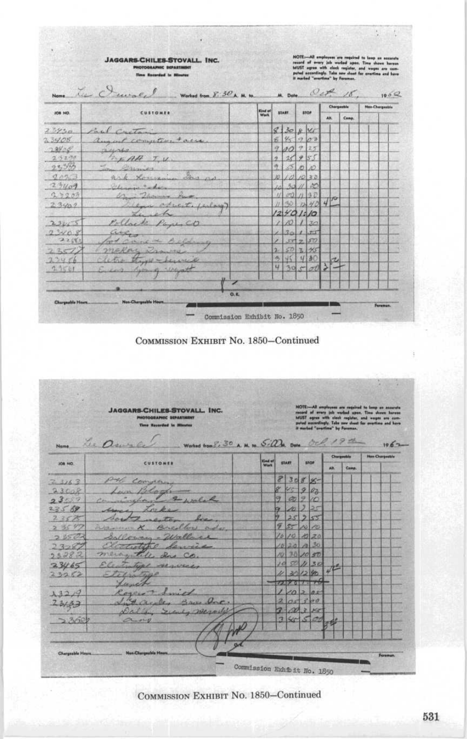|                                                                                                                                 | <b>JAGGARS-CHILES-STOVALL. INC.</b><br>PHOTOGRAPHIC DEPARTMENT<br><b>Time Recorded In Minutes</b>       |                             |               |             |       | NOTE:--All amployees are required to keep an eccurate<br>record of every job worked apen. Thus shows have<br>an MUST agree with clock register, and ways are associated<br>puted accordingly. Take new sheet for overtime and have |              |            | It marked "avertime" by Foreman.                                                                                                                                                                                                                         |                        |      |
|---------------------------------------------------------------------------------------------------------------------------------|---------------------------------------------------------------------------------------------------------|-----------------------------|---------------|-------------|-------|------------------------------------------------------------------------------------------------------------------------------------------------------------------------------------------------------------------------------------|--------------|------------|----------------------------------------------------------------------------------------------------------------------------------------------------------------------------------------------------------------------------------------------------------|------------------------|------|
|                                                                                                                                 | Le Jurale<br>Worked from $\overline{S}:$ 30 A. M. to. M. Date Oct 18                                    |                             |               |             |       |                                                                                                                                                                                                                                    |              |            |                                                                                                                                                                                                                                                          |                        | 100Q |
| <b>JOB 140.</b>                                                                                                                 | CUSTOMER                                                                                                | Kind of<br>Work             |               | START       |       | stor                                                                                                                                                                                                                               | AR.          | Chargeable | Comp.                                                                                                                                                                                                                                                    | <b>Han Chargestole</b> |      |
| 23950                                                                                                                           | Paul Cartain                                                                                            |                             |               | $8$ 30 8 Yr |       |                                                                                                                                                                                                                                    |              |            |                                                                                                                                                                                                                                                          |                        |      |
| 23408                                                                                                                           | august comptent same                                                                                    |                             | É.            | 85903       |       |                                                                                                                                                                                                                                    |              |            |                                                                                                                                                                                                                                                          |                        |      |
| 72400                                                                                                                           | $n$ unto                                                                                                |                             |               | 900 9 25    |       |                                                                                                                                                                                                                                    |              |            |                                                                                                                                                                                                                                                          |                        |      |
| 2.52.79                                                                                                                         | TIAH TV                                                                                                 |                             | $\mathcal{F}$ | 25955       |       |                                                                                                                                                                                                                                    |              |            |                                                                                                                                                                                                                                                          |                        |      |
| 2, 365                                                                                                                          | Chine                                                                                                   |                             | 叛             |             | 500   |                                                                                                                                                                                                                                    |              |            |                                                                                                                                                                                                                                                          |                        |      |
| 9073                                                                                                                            | Gas no<br>ark Louis                                                                                     |                             | Ń)            |             |       | 101020                                                                                                                                                                                                                             |              |            |                                                                                                                                                                                                                                                          |                        |      |
| 27409                                                                                                                           | Marine Color                                                                                            |                             |               |             |       | 30 11 00<br>01130                                                                                                                                                                                                                  |              |            |                                                                                                                                                                                                                                                          |                        |      |
| 27207<br>23407                                                                                                                  | er Thomas h<br>law oduct, inlay)                                                                        |                             |               |             |       | 30.1240                                                                                                                                                                                                                            | $41^{\circ}$ |            |                                                                                                                                                                                                                                                          |                        |      |
|                                                                                                                                 | $\mathcal{L}_{\mathcal{L}}$<br>ich                                                                      |                             | 121           | 401/0       |       |                                                                                                                                                                                                                                    |              |            |                                                                                                                                                                                                                                                          |                        |      |
| 23455                                                                                                                           | Pollack Page CO                                                                                         |                             |               |             |       | 101130                                                                                                                                                                                                                             |              |            |                                                                                                                                                                                                                                                          |                        |      |
| 7.3408                                                                                                                          | argo                                                                                                    |                             |               | $30 -$      |       | 155                                                                                                                                                                                                                                |              |            |                                                                                                                                                                                                                                                          |                        |      |
| 7.882                                                                                                                           | book comme the                                                                                          |                             |               |             | 377.7 | 50                                                                                                                                                                                                                                 |              |            |                                                                                                                                                                                                                                                          |                        |      |
| 237/                                                                                                                            | makor Dr                                                                                                |                             | ۵             |             |       | 50 3 45                                                                                                                                                                                                                            |              |            |                                                                                                                                                                                                                                                          |                        |      |
| 22456                                                                                                                           | Fight - Lewis                                                                                           |                             | 伤             |             |       | 45430                                                                                                                                                                                                                              |              |            |                                                                                                                                                                                                                                                          |                        |      |
| 23501                                                                                                                           | how of whoot                                                                                            |                             | u.            |             |       | 30500                                                                                                                                                                                                                              |              |            |                                                                                                                                                                                                                                                          |                        |      |
| Chargeable Hours                                                                                                                | Non-Chargesble Hours.<br>COMMISSION EXHIBIT No. 1850–Continued                                          | Commission Exhibit No. 1850 |               |             |       |                                                                                                                                                                                                                                    |              |            |                                                                                                                                                                                                                                                          | Forumun.               |      |
|                                                                                                                                 | <b>JAGGARS-CHILES-STOVALL. INC.</b><br>PHOTOGRAPHIC DEPARTMENT                                          |                             |               |             |       |                                                                                                                                                                                                                                    |              |            |                                                                                                                                                                                                                                                          |                        |      |
|                                                                                                                                 | <b>Time Recorded In Minutes</b><br>Worked from 8:30 A. M. to 5:00M. Dote Oct. 19th<br>Name Lee Denis Co |                             |               |             |       |                                                                                                                                                                                                                                    |              |            | $\texttt{MOTE} \rightarrow \texttt{All}$ employees are required to be<br>up an annuate record of avery july variant appen. Time shows hore<br>as well appear with circle registers, and wapts are commuted accordingly. Take now sheaf for excelling and |                        | 1062 |
| JOB NO.                                                                                                                         | CUSTOMER                                                                                                | Kind of                     |               | START.      |       | stor                                                                                                                                                                                                                               | AB.          |            | Chargestels<br>Camp.                                                                                                                                                                                                                                     | <b>Han Chargestele</b> |      |
|                                                                                                                                 |                                                                                                         |                             |               |             |       | 83088                                                                                                                                                                                                                              |              |            |                                                                                                                                                                                                                                                          |                        |      |
|                                                                                                                                 | pulle Congress<br>Lun Blogh                                                                             |                             |               |             |       | VS 9 00                                                                                                                                                                                                                            |              |            |                                                                                                                                                                                                                                                          |                        |      |
|                                                                                                                                 | comminghave & wolch                                                                                     |                             | T.            |             |       | 02210                                                                                                                                                                                                                              |              |            |                                                                                                                                                                                                                                                          |                        |      |
|                                                                                                                                 | unce.<br>Loro.                                                                                          |                             | 9.            |             |       | 10 7 25                                                                                                                                                                                                                            |              |            |                                                                                                                                                                                                                                                          |                        |      |
|                                                                                                                                 | Boy                                                                                                     |                             |               |             |       | 2525                                                                                                                                                                                                                               |              |            |                                                                                                                                                                                                                                                          |                        |      |
|                                                                                                                                 | Wann X Breathers and                                                                                    |                             | 9             |             |       | 55 10 10                                                                                                                                                                                                                           |              |            |                                                                                                                                                                                                                                                          |                        |      |
|                                                                                                                                 | Galloway - Wallace                                                                                      |                             |               |             |       | 10 10 10 20                                                                                                                                                                                                                        |              |            |                                                                                                                                                                                                                                                          |                        |      |
|                                                                                                                                 | clatitude levies                                                                                        |                             |               |             |       | 1020030                                                                                                                                                                                                                            |              |            |                                                                                                                                                                                                                                                          |                        |      |
|                                                                                                                                 | mercyntife das co.                                                                                      |                             |               |             |       | 19 30 10 50                                                                                                                                                                                                                        |              |            |                                                                                                                                                                                                                                                          |                        |      |
|                                                                                                                                 |                                                                                                         |                             |               |             |       | 10 50 11 30                                                                                                                                                                                                                        |              |            |                                                                                                                                                                                                                                                          |                        |      |
|                                                                                                                                 | Electrology services                                                                                    |                             |               |             |       | 11301280                                                                                                                                                                                                                           |              | 412        |                                                                                                                                                                                                                                                          |                        |      |
|                                                                                                                                 | Lunch                                                                                                   |                             |               |             |       | $72207 - 6$                                                                                                                                                                                                                        |              |            |                                                                                                                                                                                                                                                          |                        |      |
|                                                                                                                                 | Royers Smith                                                                                            |                             |               |             |       | 1/0205                                                                                                                                                                                                                             |              |            |                                                                                                                                                                                                                                                          |                        |      |
| 7.3163<br>2300R<br>2307<br>235 68<br>23575<br>235%<br>2.5521<br>$23 - 87$<br>23282<br>23465<br>23252<br>13219<br>23/33<br>> 360 | Intereste Boardone<br>Dalley Secure, Mesale                                                             |                             |               |             |       | 205300<br>3282<br>3 45 5 00 24                                                                                                                                                                                                     |              |            |                                                                                                                                                                                                                                                          |                        |      |

Commission Exhibit No. 1850

 $\alpha$ 

531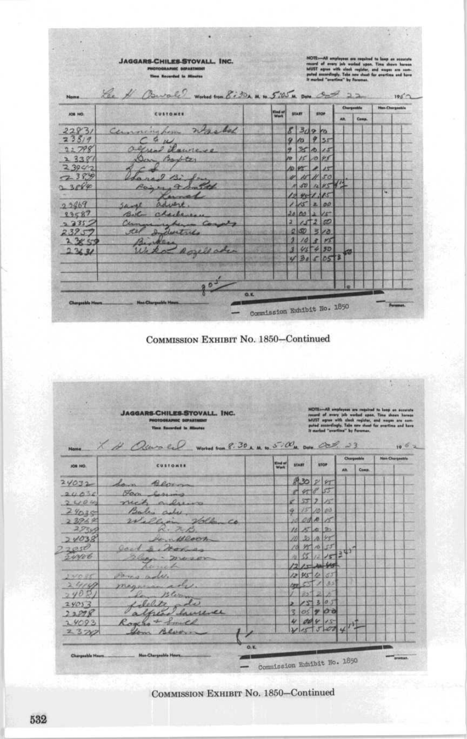|         | <b>JAGGARS-CHILES-STOVALL, INC.</b><br><b>PHOTOGRAPHIC DEPARTMENT</b><br><b>Time Recerded In Minutes</b><br>Lee # Burald Works tron 8:30x M to 5:05 M DON Oct 22 |         |                |              |             |     |           | <b>NOTE--All amplayees are required to keep on occurate</b><br>record of every job worked upon. Time shown herein<br>MUST agree with clock register, and wages are com-<br>puted annexfingly. Take new sheat for avertime and have<br>It marked "proctice" by Foreman. |                       |             |
|---------|------------------------------------------------------------------------------------------------------------------------------------------------------------------|---------|----------------|--------------|-------------|-----|-----------|------------------------------------------------------------------------------------------------------------------------------------------------------------------------------------------------------------------------------------------------------------------------|-----------------------|-------------|
| Nome.   |                                                                                                                                                                  |         |                |              |             |     |           | Chargestile                                                                                                                                                                                                                                                            | <b>Han Churgeshie</b> | $100^\circ$ |
| JOB NO. | <b>CUSTOMER</b>                                                                                                                                                  | Kind of |                | <b>START</b> | <b>STOP</b> | AH. |           | Casse.                                                                                                                                                                                                                                                                 |                       |             |
| 22831   | Commission Washed                                                                                                                                                |         |                | 830910       |             |     |           |                                                                                                                                                                                                                                                                        |                       |             |
| 238/9   | 9.11                                                                                                                                                             |         |                | 910955       |             |     |           |                                                                                                                                                                                                                                                                        |                       |             |
| 22798   | agreat Laureys                                                                                                                                                   |         |                | 93015        |             |     |           |                                                                                                                                                                                                                                                                        |                       |             |
| 23381   | Den Barter                                                                                                                                                       |         |                | 1015095      |             |     |           |                                                                                                                                                                                                                                                                        |                       |             |
| 23940   |                                                                                                                                                                  |         |                | 10 45 11 15  |             |     |           |                                                                                                                                                                                                                                                                        |                       |             |
| 7.389   | $n = 22$                                                                                                                                                         |         |                | 4 15 11 50   |             |     |           |                                                                                                                                                                                                                                                                        |                       |             |
| 2.3889  | Running 9 An                                                                                                                                                     |         |                |              | 1 50 12 45  |     |           |                                                                                                                                                                                                                                                                        |                       |             |
|         | Carnet                                                                                                                                                           |         |                | 12401.15     |             |     |           |                                                                                                                                                                                                                                                                        | w                     |             |
| 23469   | advert<br>Sampl                                                                                                                                                  |         |                | 115200       |             |     |           |                                                                                                                                                                                                                                                                        |                       |             |
| 23587   | Billy charles                                                                                                                                                    |         |                | 2000225      |             |     |           |                                                                                                                                                                                                                                                                        |                       |             |
| 23352   | Current repair Comet                                                                                                                                             |         | $\mathbf{z}$   |              | 157260      |     |           |                                                                                                                                                                                                                                                                        |                       |             |
| 23957   | Dilectures                                                                                                                                                       |         |                | $250$ 300    |             |     |           |                                                                                                                                                                                                                                                                        |                       |             |
| 2.3853  |                                                                                                                                                                  |         | $\overline{2}$ |              | 108145      |     |           |                                                                                                                                                                                                                                                                        |                       |             |
| 2312    | - Rosellader                                                                                                                                                     |         | 濵              |              | 457450      |     | <b>CO</b> |                                                                                                                                                                                                                                                                        |                       |             |
|         |                                                                                                                                                                  |         |                |              | 43050       |     |           |                                                                                                                                                                                                                                                                        |                       |             |
|         |                                                                                                                                                                  |         |                |              |             |     |           |                                                                                                                                                                                                                                                                        |                       |             |
|         | $\boldsymbol{\theta}$                                                                                                                                            |         |                |              |             |     |           |                                                                                                                                                                                                                                                                        |                       |             |
|         | O.K.                                                                                                                                                             |         |                |              |             |     |           |                                                                                                                                                                                                                                                                        |                       |             |



| Chargeshie<br>Nen-Chargestile<br><b>Kind of</b><br><b>START</b><br>stop<br>CUSTOMER<br>JOB HO.<br>Wark<br>Ab.<br>Comp.<br>2088<br>Lan Bernan<br>8 45 8 55<br>Fan form<br>×<br>55722<br>nick alrews<br>15 10 00<br>9<br>Baley aches<br>24020<br>10000K<br>Volle<br>23969<br>William<br>2224<br>R. M.<br>16502<br>10 30 10 45<br>Jan Bloom<br>22050<br>$1570$ $55$<br>10<br>Cool S, Morico<br>51225<br>ail.<br>Glass - may or<br>$121 - 124$<br>hunch<br>121572<br>Dong adu.<br>34035<br>33<br>24140<br>magnina shi.<br>App.<br><b>Com</b><br>z<br>851<br>Sam Blerm<br>15305<br>1 lebets ade<br>$\overline{\phantom{a}}$<br>$\sigma$ $\sim$<br>₹<br>Summer<br>400415<br>Roxes & Smith<br>200<br>$\sigma$<br>Low Bloom<br>2370 |          | <b>JAGGARS-CHILES-STOVALL, INC.</b><br><b>PHOTOGRAPHIC DEPARTMENT</b><br>Time Recorded In Atlantas<br>Name X H Olewin Red Worked tram 8:30 x M, to 5:00 M, Date Oct. 23 |  |  | It marked "weartline" by Foreman. |  | record of every job worked apen. Time shown hereon<br>MUST agree with clock register, and wages are com-<br>puted autordingly. Tale new sheat for searting and have | <b>NOTE-All employees are required to keep on occurate</b><br>1002 |
|-----------------------------------------------------------------------------------------------------------------------------------------------------------------------------------------------------------------------------------------------------------------------------------------------------------------------------------------------------------------------------------------------------------------------------------------------------------------------------------------------------------------------------------------------------------------------------------------------------------------------------------------------------------------------------------------------------------------------------|----------|-------------------------------------------------------------------------------------------------------------------------------------------------------------------------|--|--|-----------------------------------|--|---------------------------------------------------------------------------------------------------------------------------------------------------------------------|--------------------------------------------------------------------|
|                                                                                                                                                                                                                                                                                                                                                                                                                                                                                                                                                                                                                                                                                                                             |          |                                                                                                                                                                         |  |  |                                   |  |                                                                                                                                                                     |                                                                    |
|                                                                                                                                                                                                                                                                                                                                                                                                                                                                                                                                                                                                                                                                                                                             |          |                                                                                                                                                                         |  |  |                                   |  |                                                                                                                                                                     |                                                                    |
|                                                                                                                                                                                                                                                                                                                                                                                                                                                                                                                                                                                                                                                                                                                             | 24032    |                                                                                                                                                                         |  |  |                                   |  |                                                                                                                                                                     |                                                                    |
|                                                                                                                                                                                                                                                                                                                                                                                                                                                                                                                                                                                                                                                                                                                             | 200020   |                                                                                                                                                                         |  |  |                                   |  |                                                                                                                                                                     |                                                                    |
|                                                                                                                                                                                                                                                                                                                                                                                                                                                                                                                                                                                                                                                                                                                             | 2004     |                                                                                                                                                                         |  |  |                                   |  |                                                                                                                                                                     |                                                                    |
|                                                                                                                                                                                                                                                                                                                                                                                                                                                                                                                                                                                                                                                                                                                             |          |                                                                                                                                                                         |  |  |                                   |  |                                                                                                                                                                     |                                                                    |
|                                                                                                                                                                                                                                                                                                                                                                                                                                                                                                                                                                                                                                                                                                                             |          |                                                                                                                                                                         |  |  |                                   |  |                                                                                                                                                                     |                                                                    |
|                                                                                                                                                                                                                                                                                                                                                                                                                                                                                                                                                                                                                                                                                                                             |          |                                                                                                                                                                         |  |  |                                   |  |                                                                                                                                                                     |                                                                    |
|                                                                                                                                                                                                                                                                                                                                                                                                                                                                                                                                                                                                                                                                                                                             | 24038    |                                                                                                                                                                         |  |  |                                   |  |                                                                                                                                                                     |                                                                    |
|                                                                                                                                                                                                                                                                                                                                                                                                                                                                                                                                                                                                                                                                                                                             |          |                                                                                                                                                                         |  |  |                                   |  |                                                                                                                                                                     |                                                                    |
|                                                                                                                                                                                                                                                                                                                                                                                                                                                                                                                                                                                                                                                                                                                             | 54406    |                                                                                                                                                                         |  |  |                                   |  |                                                                                                                                                                     |                                                                    |
|                                                                                                                                                                                                                                                                                                                                                                                                                                                                                                                                                                                                                                                                                                                             |          |                                                                                                                                                                         |  |  |                                   |  |                                                                                                                                                                     |                                                                    |
|                                                                                                                                                                                                                                                                                                                                                                                                                                                                                                                                                                                                                                                                                                                             |          |                                                                                                                                                                         |  |  |                                   |  |                                                                                                                                                                     |                                                                    |
|                                                                                                                                                                                                                                                                                                                                                                                                                                                                                                                                                                                                                                                                                                                             |          |                                                                                                                                                                         |  |  |                                   |  |                                                                                                                                                                     |                                                                    |
|                                                                                                                                                                                                                                                                                                                                                                                                                                                                                                                                                                                                                                                                                                                             | 740R     |                                                                                                                                                                         |  |  |                                   |  |                                                                                                                                                                     |                                                                    |
|                                                                                                                                                                                                                                                                                                                                                                                                                                                                                                                                                                                                                                                                                                                             | $2905 -$ |                                                                                                                                                                         |  |  |                                   |  |                                                                                                                                                                     |                                                                    |
|                                                                                                                                                                                                                                                                                                                                                                                                                                                                                                                                                                                                                                                                                                                             | 22098    |                                                                                                                                                                         |  |  |                                   |  |                                                                                                                                                                     |                                                                    |
|                                                                                                                                                                                                                                                                                                                                                                                                                                                                                                                                                                                                                                                                                                                             | 24093    |                                                                                                                                                                         |  |  |                                   |  |                                                                                                                                                                     |                                                                    |
|                                                                                                                                                                                                                                                                                                                                                                                                                                                                                                                                                                                                                                                                                                                             |          |                                                                                                                                                                         |  |  |                                   |  |                                                                                                                                                                     |                                                                    |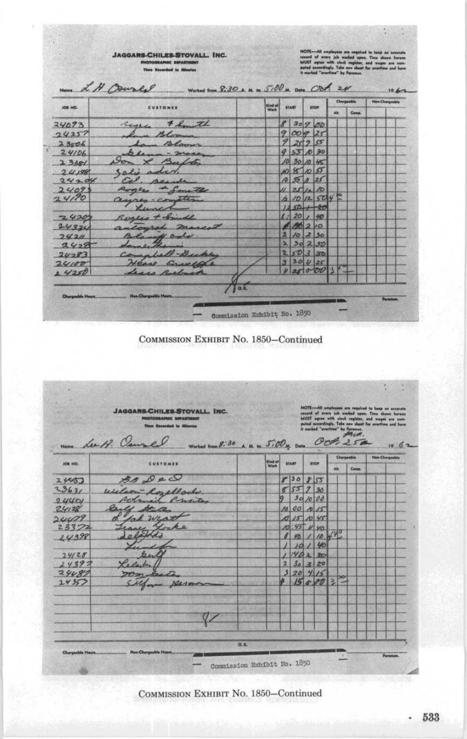|                | Name L N Courly<br>Worked from 8:30 A. M. to 5:00 M. Date Obf. 24 | <b>Elnd of</b> |               |              |             |     | Chargamble | 19.62<br><b>New Chargestole</b> |  |  |  |
|----------------|-------------------------------------------------------------------|----------------|---------------|--------------|-------------|-----|------------|---------------------------------|--|--|--|
| <b>JOB NO.</b> | <b>CUSTOMER</b>                                                   | Wark           |               | <b>START</b> | <b>STOP</b> | Ah. | Comp.      |                                 |  |  |  |
| 24093          | center & how the                                                  |                |               | 8 30 9 00    |             |     |            |                                 |  |  |  |
| 74257          | - Bloom                                                           |                |               | 900925       |             |     |            |                                 |  |  |  |
| 2806           | In Blown                                                          |                | $\mathcal{P}$ | 2595         |             |     |            |                                 |  |  |  |
| 24106          | $\mu$ - 2000                                                      |                |               | 957030       |             |     |            |                                 |  |  |  |
| 2.348/         | Don & Bafres                                                      |                |               | 10 30 10 45  |             |     |            |                                 |  |  |  |
| 24198          | Salie aded                                                        |                |               | 108005       |             |     |            |                                 |  |  |  |
| 24204          | Cal. Algoda                                                       |                |               | 10351125     |             |     |            |                                 |  |  |  |
| 2409           | Rogers de Samite                                                  |                |               | $251 - 10$   |             |     |            |                                 |  |  |  |
| 24190          | ayres-conster                                                     |                | h             |              | 10  12  504 |     |            |                                 |  |  |  |
|                | Lunch                                                             |                |               | $250 + 20$   |             |     |            |                                 |  |  |  |
| 24201          | Roglas + Smith                                                    |                | $\mathbf{L}$  |              | 201, 40     |     |            |                                 |  |  |  |
| 24324          | automat marced                                                    |                |               | $-26210$     |             |     |            |                                 |  |  |  |
| 7421           | Blank als.                                                        |                |               | 2/0230       |             |     |            |                                 |  |  |  |
| 24,9           | dame them                                                         |                | মা            |              | 30250       |     |            |                                 |  |  |  |
| 24283          | Complete-Decky                                                    |                |               |              | 250320      |     |            |                                 |  |  |  |
| 20100          | Heave Ennelle                                                     |                |               | 330125       |             |     |            |                                 |  |  |  |
| 0.4250         | Lease Resburg                                                     |                |               | 425000       |             |     |            |                                 |  |  |  |

COMMISSION EXHIBIT No. 1850-Continued

|                | <b>JAGGARS-CHILES-STOVALL, INC.</b><br>PICTOGRAPHIC SIPARTMENT<br>Time Exceeded in Minster<br>Nome Lee 19. Courses<br>Worked from 8:30 A. M. to 5:00M. Date |                |                         |                 |             |                |            | NOTE:- All amployees are required to beep on accurate<br>second of wrery job worked upon. Time shows hereon<br>MUST agree with clock register, and wages are com-<br>puted scoordingly. Take new sheet for avartime and have<br>It marked "avertine" by Foreman.<br><b>SISCUR.</b><br>OCH.254 |                       | 1062 |
|----------------|-------------------------------------------------------------------------------------------------------------------------------------------------------------|----------------|-------------------------|-----------------|-------------|----------------|------------|-----------------------------------------------------------------------------------------------------------------------------------------------------------------------------------------------------------------------------------------------------------------------------------------------|-----------------------|------|
|                |                                                                                                                                                             | <b>Kind of</b> | <b>START</b>            |                 | <b>STOP</b> |                | Chargasble |                                                                                                                                                                                                                                                                                               | <b>Han-Chargeable</b> |      |
| <b>JOB NO.</b> | <b>CUSTOMER</b>                                                                                                                                             | <b>Work</b>    |                         |                 |             | AH.            |            | Comp.                                                                                                                                                                                                                                                                                         |                       |      |
| 24457          | $35 \rho$                                                                                                                                                   |                |                         | 8 30 8 55       |             |                |            |                                                                                                                                                                                                                                                                                               |                       |      |
| 2363/          | Wilson Royellock                                                                                                                                            |                | $\mathscr{C}$           | 557930          |             |                |            |                                                                                                                                                                                                                                                                                               |                       |      |
| 2440/          | Robinsil Presiden                                                                                                                                           |                |                         |                 | 30/0.00     |                |            |                                                                                                                                                                                                                                                                                               |                       |      |
| 24128          |                                                                                                                                                             |                |                         |                 | 10 00 10 15 |                |            |                                                                                                                                                                                                                                                                                               |                       |      |
| 24479          | 12u                                                                                                                                                         |                | ×1                      | 15 10 45        |             |                |            |                                                                                                                                                                                                                                                                                               |                       |      |
| 2332           | ocke                                                                                                                                                        |                |                         | 45              | H vn        |                |            |                                                                                                                                                                                                                                                                                               |                       |      |
| 24398          |                                                                                                                                                             |                |                         | 拓               | 10          |                |            |                                                                                                                                                                                                                                                                                               |                       |      |
|                |                                                                                                                                                             |                |                         | 10 <sup>1</sup> | 40          |                |            |                                                                                                                                                                                                                                                                                               |                       |      |
| 24128          | bul                                                                                                                                                         |                |                         |                 | 4222        |                |            |                                                                                                                                                                                                                                                                                               |                       |      |
| 2439.5         |                                                                                                                                                             |                | $\overline{\mathbf{2}}$ | 20   4          | $30 = 20$   |                |            |                                                                                                                                                                                                                                                                                               |                       |      |
| 24481<br>24352 |                                                                                                                                                             |                |                         |                 | 15800       | $\overline{a}$ |            |                                                                                                                                                                                                                                                                                               |                       |      |
|                | a plasmo                                                                                                                                                    |                |                         |                 |             |                |            |                                                                                                                                                                                                                                                                                               |                       |      |
|                |                                                                                                                                                             |                |                         |                 |             |                |            | ×                                                                                                                                                                                                                                                                                             |                       |      |
|                |                                                                                                                                                             |                |                         |                 |             |                |            |                                                                                                                                                                                                                                                                                               |                       |      |
|                |                                                                                                                                                             |                |                         |                 |             |                |            |                                                                                                                                                                                                                                                                                               |                       |      |
|                |                                                                                                                                                             |                |                         |                 |             |                |            |                                                                                                                                                                                                                                                                                               |                       |      |
|                |                                                                                                                                                             |                |                         |                 |             |                |            |                                                                                                                                                                                                                                                                                               |                       |      |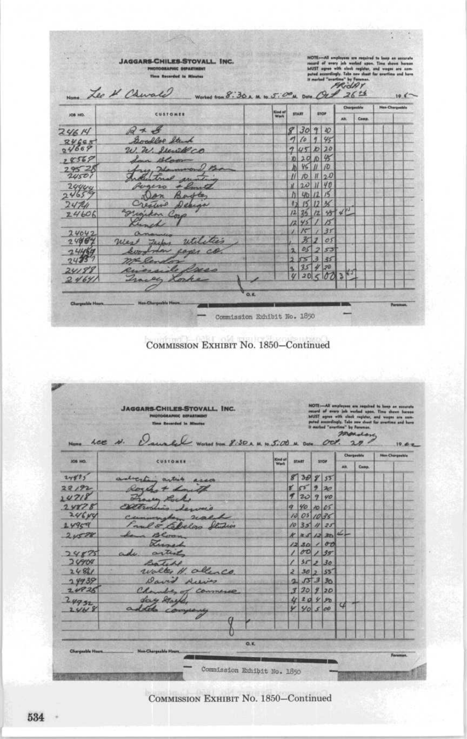|                | <b>JAGGARS-CHILES-STOVALL, INC.</b><br><b>FRIDERED SIMULATIONS</b><br>Time Recorded in Minutes<br>Nome Leo & Churche<br>Worked from 8. 30 x M. to 5. 00 M. Data Oct 26 th |                |                              |                 |              |             |     | recard of every job worked upon. Time shown haraan<br>MUST agree with sluck register, and wages are ann-<br>puted accordingly. Take new shaat for avartime and have<br>It marked "overtime" by Fernman.<br>FRIDAY |  |                 | 10 <sup>2</sup> |
|----------------|---------------------------------------------------------------------------------------------------------------------------------------------------------------------------|----------------|------------------------------|-----------------|--------------|-------------|-----|-------------------------------------------------------------------------------------------------------------------------------------------------------------------------------------------------------------------|--|-----------------|-----------------|
| JOB HO.        | <b>CUSTOMER</b>                                                                                                                                                           | <b>Kind at</b> |                              | <b>START</b>    |              | <b>STOP</b> |     | Chargesble                                                                                                                                                                                                        |  | Nos Chargestria |                 |
|                |                                                                                                                                                                           | Work           |                              |                 |              |             | AN. | Comm.                                                                                                                                                                                                             |  |                 |                 |
| 24614          | $\mathcal{Q} \neq \mathcal{L}$                                                                                                                                            |                | 8                            | 30 <sup>1</sup> | $\mathbf{q}$ | 40          |     |                                                                                                                                                                                                                   |  |                 |                 |
| 24665          | Goodler Struck                                                                                                                                                            |                | $\overline{\phantom{a}}$     | 10              | 牙            | 45          |     |                                                                                                                                                                                                                   |  |                 |                 |
| 04669          | W. W. Stewill co                                                                                                                                                          |                | $\mathcal{L}$                | U5D             |              | 70          |     |                                                                                                                                                                                                                   |  |                 |                 |
| 78569          | In Bloom                                                                                                                                                                  |                | 251                          | 201             | $\sqrt{2}$   | 45          |     |                                                                                                                                                                                                                   |  |                 |                 |
| 2952           | Flamerson                                                                                                                                                                 |                |                              | 46              |              | ID.         |     |                                                                                                                                                                                                                   |  |                 |                 |
| 24501          |                                                                                                                                                                           |                |                              | $\sqrt{D}$      | $\mathbf{u}$ | 20          |     |                                                                                                                                                                                                                   |  |                 |                 |
| 2990c          |                                                                                                                                                                           |                | $\overline{\mathcal{M}}$     | 20              |              | 40          |     |                                                                                                                                                                                                                   |  |                 |                 |
| 65             |                                                                                                                                                                           |                |                              | 45              |              |             |     |                                                                                                                                                                                                                   |  |                 |                 |
| 241            | ealer<br>Depens                                                                                                                                                           |                |                              | $24^{1}$        | h2           | $35 -$      |     |                                                                                                                                                                                                                   |  |                 |                 |
| 24606          | Engineer Corp                                                                                                                                                             |                |                              | 45              |              |             |     |                                                                                                                                                                                                                   |  |                 |                 |
|                |                                                                                                                                                                           |                | $\left  \frac{1}{2} \right $ | 15              |              | 35          |     |                                                                                                                                                                                                                   |  |                 |                 |
| 24042<br>24864 | util très<br>West<br>Jecher                                                                                                                                               |                |                              | 氷               |              | 05          |     |                                                                                                                                                                                                                   |  |                 |                 |
| 2410           |                                                                                                                                                                           |                | ä                            | 05              |              | 53          |     |                                                                                                                                                                                                                   |  |                 |                 |
|                |                                                                                                                                                                           |                | ь                            | cs              |              | 35          |     |                                                                                                                                                                                                                   |  |                 |                 |
| 24188          |                                                                                                                                                                           |                | a.                           | 35              |              | 20          |     |                                                                                                                                                                                                                   |  |                 |                 |
| 2464           | en Lorke                                                                                                                                                                  |                |                              | 20              |              | $\phi$      |     |                                                                                                                                                                                                                   |  |                 |                 |
|                |                                                                                                                                                                           |                |                              |                 |              |             |     |                                                                                                                                                                                                                   |  |                 |                 |
|                | <b>New-Chargeable News</b>                                                                                                                                                | 0, K           |                              |                 |              |             |     |                                                                                                                                                                                                                   |  |                 |                 |



|         | <b>JAGGARS-CHILES-STOVALL, INC.</b><br><b>PHOTOGRAPHIC DEPARTMENT</b>                          |         |                         |             |                |                     | NOTE:-All employees are regulred to keep an nonstate<br>record of every Job worked upon. Time shown hareon<br>MUST agree with clock register, and weges are sam- |                        |
|---------|------------------------------------------------------------------------------------------------|---------|-------------------------|-------------|----------------|---------------------|------------------------------------------------------------------------------------------------------------------------------------------------------------------|------------------------|
|         | <b>Time Recorded in Minutes</b><br>Nome LCC N. Danale Worked from 8:50 x M to 5:00 M Date Oct. |         |                         |             |                |                     | puted anspellingly. Take new shoot for avertime and have<br>It marked "aircriting" by Foreman.<br>monday<br>20                                                   | 19.62.                 |
| JOB HO. | CUSTOMER                                                                                       | Kind of |                         | START       | STOP           |                     | Churgoolalu                                                                                                                                                      | <b>Hun-Chargestile</b> |
|         |                                                                                                | Werk    |                         |             |                | <b>AH</b>           | Comp.                                                                                                                                                            |                        |
| 24425   | adverting article accord                                                                       |         |                         | 83085       |                |                     |                                                                                                                                                                  |                        |
| 22/92   | Roch + Low Il                                                                                  |         |                         | 85920       |                |                     |                                                                                                                                                                  |                        |
| 14718   | France Luce                                                                                    |         | $\tau$                  | 20990       |                |                     |                                                                                                                                                                  |                        |
| 24878   | Caltronhia<br>ane a                                                                            |         |                         | 9 40 10 05  |                |                     |                                                                                                                                                                  |                        |
| 24644   | Cummingher scalado                                                                             |         |                         | 10 05 10 35 |                |                     |                                                                                                                                                                  |                        |
| 14959   | I and & Colvelgo Studios                                                                       |         |                         | 10351125    |                |                     |                                                                                                                                                                  |                        |
| 20528   | Lana Bloom                                                                                     |         |                         |             | $K = S / 2 3D$ | $\underline{d}_\mu$ |                                                                                                                                                                  |                        |
|         | Lizard                                                                                         |         |                         |             | 1230/00        |                     |                                                                                                                                                                  |                        |
| 24875   | ade artist                                                                                     |         | ı                       |             | 00 1 35        |                     |                                                                                                                                                                  |                        |
| 20904   | Protected                                                                                      |         | ∕                       | 35230       |                |                     |                                                                                                                                                                  |                        |
| 2481    | walter H. allenco                                                                              |         | $\geq$                  |             | 3025           |                     |                                                                                                                                                                  |                        |
| 24939   | David Aceis                                                                                    |         | $\overline{\mathbf{a}}$ |             | 55330          |                     |                                                                                                                                                                  |                        |
| 2.4826  | Chamber of Connerse                                                                            |         |                         | 330920      |                |                     |                                                                                                                                                                  |                        |
| 24932   | Long Streets                                                                                   |         |                         | 420480      |                |                     |                                                                                                                                                                  |                        |
| 2.448   | addets company                                                                                 |         | V                       | 40500       |                | α                   |                                                                                                                                                                  |                        |
|         |                                                                                                |         |                         |             |                |                     |                                                                                                                                                                  |                        |
|         |                                                                                                |         |                         |             |                |                     |                                                                                                                                                                  |                        |
|         |                                                                                                |         |                         |             |                |                     |                                                                                                                                                                  |                        |
|         | Q, K                                                                                           |         |                         |             |                |                     |                                                                                                                                                                  |                        |